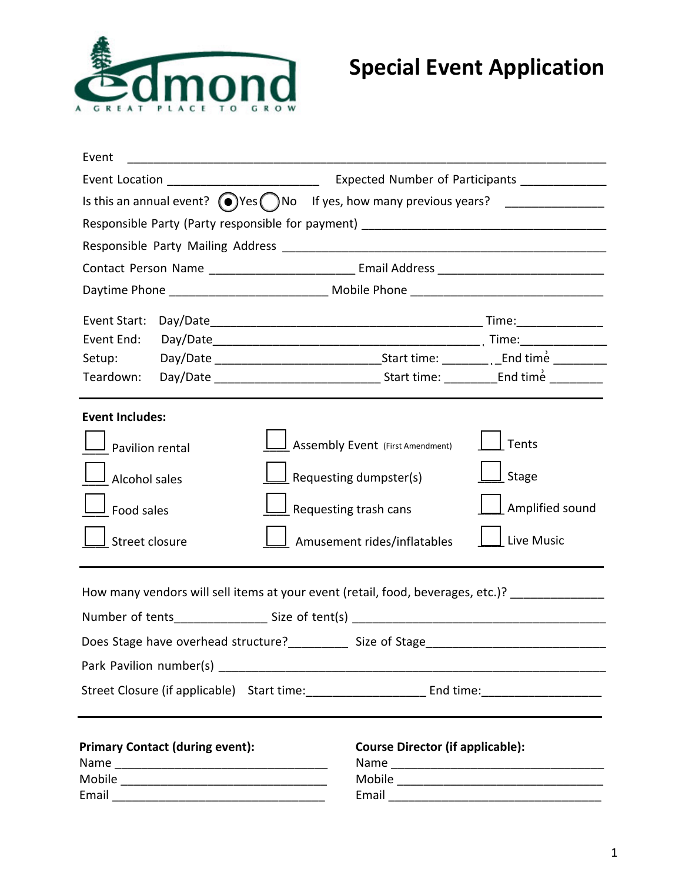

| Event                                                                                      |                                                                                                                                                                                                                                                                                |  |
|--------------------------------------------------------------------------------------------|--------------------------------------------------------------------------------------------------------------------------------------------------------------------------------------------------------------------------------------------------------------------------------|--|
| Event Location ___________________________                                                 | Expected Number of Participants _______________                                                                                                                                                                                                                                |  |
|                                                                                            |                                                                                                                                                                                                                                                                                |  |
|                                                                                            | Responsible Party (Party responsible for payment) _______________________________                                                                                                                                                                                              |  |
|                                                                                            |                                                                                                                                                                                                                                                                                |  |
|                                                                                            |                                                                                                                                                                                                                                                                                |  |
|                                                                                            |                                                                                                                                                                                                                                                                                |  |
|                                                                                            |                                                                                                                                                                                                                                                                                |  |
|                                                                                            |                                                                                                                                                                                                                                                                                |  |
|                                                                                            |                                                                                                                                                                                                                                                                                |  |
| Teardown:                                                                                  |                                                                                                                                                                                                                                                                                |  |
| <b>Event Includes:</b><br>Pavilion rental<br>Alcohol sales<br>Food sales<br>Street closure | Tents<br>Assembly Event (First Amendment)<br>Stage<br>Requesting dumpster(s)<br>Amplified sound<br>$\perp$ Requesting trash cans<br>Live Music<br>Amusement rides/inflatables<br>How many vendors will sell items at your event (retail, food, beverages, etc.)? _____________ |  |
|                                                                                            |                                                                                                                                                                                                                                                                                |  |
|                                                                                            | Does Stage have overhead structure? Size of Stage                                                                                                                                                                                                                              |  |
|                                                                                            |                                                                                                                                                                                                                                                                                |  |
| <b>Primary Contact (during event):</b>                                                     | <b>Course Director (if applicable):</b>                                                                                                                                                                                                                                        |  |